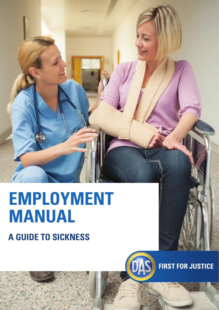# **A guide to sickness EMPLOYMENT manual**



**FIRST FOR JUSTICE**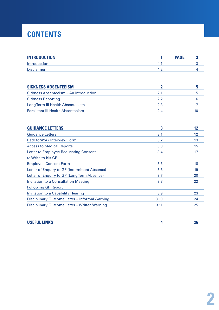# **CONTENTS**

| <b>INTRODUCTION</b>                            | 1            | <b>PAGE</b><br>3 |
|------------------------------------------------|--------------|------------------|
| Introduction                                   | 1.1          | 3                |
| <b>Disclaimer</b>                              | 1.2          | 4                |
|                                                |              |                  |
| <b>SICKNESS ABSENTEEISM</b>                    | $\mathbf{2}$ | 5                |
| Sickness Absenteeism - An Introduction         | 2.1          | 5                |
| <b>Sickness Reporting</b>                      | 2.2          | 6                |
| Long Term III Health Absenteeism               | 2.3          | 7                |
| <b>Persistent III Health Absenteeism</b>       | 2.4          | 10               |
|                                                |              |                  |
| <b>GUIDANCE LETTERS</b>                        | 3            | 12               |
| <b>Guidance Letters</b>                        | 3.1          | 12               |
| <b>Back to Work Interview Form</b>             | 3.2          | 13               |
| <b>Access to Medical Reports</b>               | 3.3          | 15               |
| Letter to Employee Requesting Consent          | 3.4          | 17               |
| to Write to his GP                             |              |                  |
| <b>Employee Consent Form</b>                   | 3.5          | 18               |
| Letter of Enquiry to GP (Intermittent Absence) | 3.6          | 19               |
| Letter of Enquiry to GP (Long Term Absence)    | 3.7          | 20               |
| <b>Invitation to a Consultation Meeting</b>    | 3.8          | 22               |
| <b>Following GP Report</b>                     |              |                  |
| <b>Invitation to a Capability Hearing</b>      | 3.9          | 23               |
| Disciplinary Outcome Letter - Informal Warning | 3.10         | 24               |
| Disciplinary Outcome Letter - Written Warning  | 3.11         | 25               |

| <b>USEFUL LINKS</b> |  |
|---------------------|--|
|                     |  |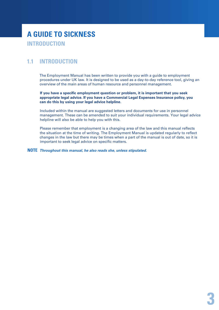# **A guide to sickness introduction**

## **1.1 introduction**

The Employment Manual has been written to provide you with a guide to employment procedures under UK law. It is designed to be used as a day-to-day reference tool, giving an overview of the main areas of human resource and personnel management.

**If you have a specific employment question or problem, it is important that you seek appropriate legal advice. If you have a Commercial Legal Expenses Insurance policy, you can do this by using your legal advice helpline.**

Included within the manual are suggested letters and documents for use in personnel management. These can be amended to suit your individual requirements. Your legal advice helpline will also be able to help you with this.

Please remember that employment is a changing area of the law and this manual reflects the situation at the time of writing. The Employment Manual is updated regularly to reflect changes in the law but there may be times when a part of the manual is out of date, so it is important to seek legal advice on specific matters.

**NOTE** *Throughout this manual, he also reads she, unless stipulated.*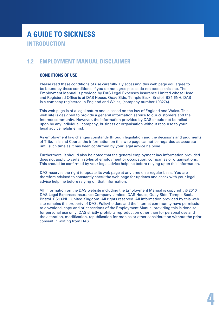# **A guide to sickness introduction**

## **1.2 Employment Manual Disclaimer**

#### **Conditions of use**

Please read these conditions of use carefully. By accessing this web page you agree to be bound by these conditions. If you do not agree please do not access this site. The Employment Manual is provided by DAS Legal Expenses Insurance Limited whose Head and Registered Office is at DAS House, Quay Side, Temple Back, Bristol BS1 6NH. DAS is a company registered in England and Wales, (company number 103274).

This web page is of a legal nature and is based on the law of England and Wales. This web site is designed to provide a general information service to our customers and the internet community. However, the information provided by DAS should not be relied upon by any individual, company, business or organisation without recourse to your legal advice helpline first.

As employment law changes constantly through legislation and the decisions and judgments of Tribunals and Courts, the information on this web page cannot be regarded as accurate until such time as it has been confirmed by your legal advice helpline.

Furthermore, it should also be noted that the general employment law information provided does not apply to certain styles of employment or occupation, companies or organisations. This should be confirmed by your legal advice helpline before relying upon this information.

DAS reserves the right to update its web page at any time on a regular basis. You are therefore advised to constantly check the web page for updates and check with your legal advice helpline before relying on that information.

All information on the DAS website including the Employment Manual is copyright © 2010 DAS Legal Expenses Insurance Company Limited, DAS House, Quay Side, Temple Back, Bristol BS1 6NH, United Kingdom. All rights reserved. All information provided by this web site remains the property of DAS. Policyholders and the internet community have permission to download, copy and print sections of the Employment Manual providing this is done so for personal use only. DAS strictly prohibits reproduction other than for personal use and the alteration, modification, republication for monies or other consideration without the prior consent in writing from DAS.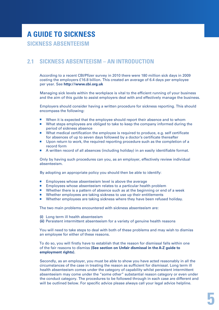## **2.1 sickness absenteeism – an Introduction**

According to a recent CBI/Pfizer survey in 2010 there were 180 million sick days in 2009 costing the employers £16.8 billion. This created an average of 6.4 days per employee per year. See **http://www.cbi.org.uk**

Managing sick levels within the workplace is vital to the efficient running of your business and the aim of this guide to assist employers deal with and effectively manage the business.

Employers should consider having a written procedure for sickness reporting. This should encompass the following:

- When it is expected that the employee should report their absence and to whom
- What steps employees are obliged to take to keep the company informed during the period of sickness absence
- What medical certification the employee is required to produce, e.g. self certificate for absences of up to seven days followed by a doctor's certificate thereafter
- **Upon return to work, the required reporting procedure such as the completion of a** record form
- A written record of all absences (including holiday) in an easily identifiable format.

Only by having such procedures can you, as an employer, effectively review individual absenteeism.

By adopting an appropriate policy you should then be able to identify:

- **Employees whose absenteeism level is above the average**
- Employees whose absenteeism relates to a particular health problem
- **Number 1** Whether there is a pattern of absence such as at the beginning or end of a week
- Whether employees are taking sickness to use up their entitlements
- Whether employees are taking sickness where they have been refused holiday.

The two main problems encountered with sickness absenteeism are:

- **(i)** Long term ill health absenteeism
- **(ii)** Persistent intermittent absenteeism for a variety of genuine health reasons

You will need to take steps to deal with both of these problems and may wish to dismiss an employee for either of these reasons.

To do so, you will firstly have to establish that the reason for dismissal falls within one of the fair reasons to dismiss **(See section on Unfair dismissal in the A-Z guide to employment rights).**

Secondly, as an employer, you must be able to show you have acted reasonably in all the circumstances of the case in treating the reason as sufficient for dismissal. Long term ill health absenteeism comes under the category of capability whilst persistent intermittent absenteeism may come under the "some other" substantial reason category or even under the conduct category. The procedures to be followed through in each case are different and will be outlined below. For specific advice please always call your legal advice helpline.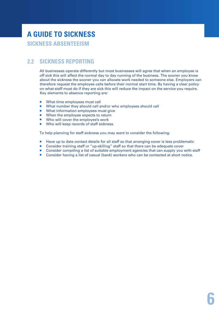# **A guide to sickness sickness Absenteeism**

## **2.2 Sickness reporting**

All businesses operate differently but most businesses will agree that when an employee is off sick this will affect the normal day to day running of the business. The sooner you know about the sickness the sooner you can allocate work needed to someone else. Employers can therefore request the employee calls before their normal start time. By having a clear policy on what staff must do if they are sick this will reduce the impact on the service you require. Key elements to absence reporting are:

- What time employees must call
- What number they should call and/or who employees should call
- **NH** What information employees must give
- When the employee expects to return
- Who will cover the employee's work
- Who will keep records of staff sickness.

To help planning for staff sickness you may want to consider the following:

- Have up to date contact details for all staff so that arranging cover is less problematic
- Consider training staff or "up-skilling" staff so that there can be adequate cover
- **Consider compiling a list of suitable employment agencies that can supply you with staff**
- Consider having a list of casual (bank) workers who can be contacted at short notice.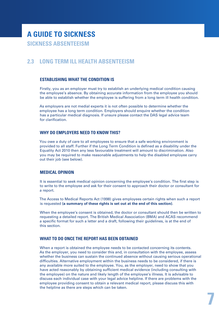## **2.3 Long Term Ill Health Absenteeism**

#### **Establishing what the condition is**

Firstly, you as an employer must try to establish an underlying medical condition causing the employee's absence. By obtaining accurate information from the employee you should be able to establish whether the employee is suffering from a long term ill health condition.

As employers are not medial experts it is not often possible to determine whether the employee has a long term condition. Employers should enquire whether the condition has a particular medical diagnosis. If unsure please contact the DAS legal advice team for clarification.

#### **Why do employers need to know this?**

You owe a duty of care to all employees to ensure that a safe working environment is provided to all staff. Further if the Long Term Condition is defined as a disability under the Equality Act 2010 then any less favourable treatment will amount to discrimination. Also you may be required to make reasonable adjustments to help the disabled employee carry out their job (see below).

#### **Medical opinion**

It is essential to seek medical opinion concerning the employee's condition. The first step is to write to the employee and ask for their consent to approach their doctor or consultant for a report.

The Access to Medical Reports Act (1998) gives employees certain rights when such a report is requested **(a summary of these rights is set out at the end of this section)**.

When the employee's consent is obtained, the doctor or consultant should then be written to requesting a detailed report. The British Medical Association (BMA) and ACAS recommend a specific format for such a letter and a draft, following their guidelines, is at the end of this section.

#### **What to do once the report has been obtained**

When a report is obtained the employee needs to be contacted concerning its contents. As the employer, you need to consider this and, in consultation with the employee, assess whether the business can sustain the continued absence without causing serious operational difficulties. Alternative employment within the business needs to be considered, if there is any available more suited to the employee. You, as the employer, need to show that you have acted reasonably by obtaining sufficient medical evidence (including consulting with the employee) on the nature and likely length of the employee's illness. It is advisable to discuss each individual case with your legal advice helpline. If there are problems with the employee providing consent to obtain a relevant medical report, please discuss this with the helpline as there are steps which can be taken.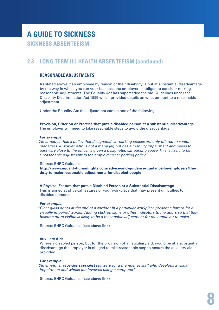## **2.3 Long Term Ill Health Absenteeism (continued)**

## **Reasonable Adjustments**

As stated above if an employee by reason of their disability is put at substantial disadvantage by the way in which you run your business the employer is obliged to consider making reasonable adjustments. The Equality Act has superceded the old Guidelines under the Disability Discrimination Act 1995 which provided details on what amount to a reasonable adjustment.

Under the Equality Act the adjustment can be one of the following:

**Provision, Criterion or Practice that puts a disabled person at a substantial disadvantage** The employer will need to take reasonable steps to avoid the disadvantage.

#### *For example*

*"An employer has a policy that designated car parking spaces are only offered to senior managers. A worker who is not a manager, but has a mobility impairment and needs to park very close to the office, is given a designated car parking space. This is likely to be a reasonable adjustment to the employer's car parking policy."*

#### Source: EHRC Guidance

**http://www.equalityhumanrights.com/advice-and-guidance/guidance-for-employers/theduty-to-make-reasonable-adjustments-for-disabled-people**

#### **A Physical Feature that puts a Disabled Person at a Substantial Disadvantage**

This is aimed at physical features of your workplace that may present difficulties to disabled persons.

#### *For example:*

*"Clear glass doors at the end of a corridor in a particular workplace present a hazard for a visually impaired worker. Adding stick-on signs or other indicators to the doors so that they become more visible is likely to be a reasonable adjustment for the employer to make."*

Source: EHRC Guidance **(see above link)**

#### **Auxiliary Aids**

Where a disabled person, but for the provision of an auxiliary aid, would be at a substantial disadvantage the employer is obliged to take reasonable step to ensure the auxiliary aid is provided.

#### *For example:*

*"An employer provides specialist software for a member of staff who develops a visual impairment and whose job involves using a computer"*

Source: EHRC Guidance **(see above link)**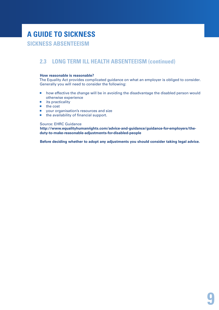# **A guide to sickness**

## **sickness Absenteeism**

## **2.3 Long Term Ill Health Absenteeism (continued)**

#### **How reasonable is reasonable?**

The Equality Act provides complicated guidance on what an employer is obliged to consider. Generally you will need to consider the following:

- **how effective the change will be in avoiding the disadvantage the disabled person would** otherwise experience
- $\blacksquare$  its practicality
- $\blacksquare$  the cost
- **vour organisation's resources and size**
- **n** the availability of financial support.

#### Source: EHRC Guidance

**http://www.equalityhumanrights.com/advice-and-guidance/guidance-for-employers/theduty-to-make-reasonable-adjustments-for-disabled-people**

**Before deciding whether to adopt any adjustments you should consider taking legal advice.**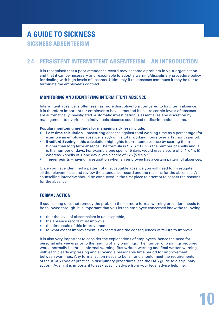## **2.4 PERSISTENT INTERMITTENT ABSENTEEISM – An Introduction**

It is recognised that a poor attendance record may become a problem in your organisation and that it can be necessary and reasonable to adopt a warning/disciplinary procedure policy for dealing with high levels of absence. Ultimately if the absence continues it may be fair to terminate the employee's contract.

#### **Monitoring and identifying intermittent absence**

Intermittent absence is often seen as more disruptive to a compared to long term absence. It is therefore important for employer to have a method if ensure certain levels of absence are automatically investigated. Automatic investigation is essential as any discretion by management to overlook an individuals absence could lead to discrimination claims.

#### **Popular monitoring methods for managing sickness include:**

- **Lost time calculation** measuring absence against total working time as a percentage (for example an employee absence is 20% of his total working hours over a 12 month period)
- **Bradford Scoring** this calculation highlights intermittent absence by scoring them higher than long term absence. The formula is  $S \times S \times D$ . S is the number of spells and D is the number of days. For example one spell of 5 days would give a score of  $5 (1 \times 1 \times 5)$ whereas 5 spells of 1 one day gives a score of 125  $(5 \times 5 \times 5)$
- **Trigger points** having investigation when an employee has a certain pattern of absences.

Once you have identified a pattern of unacceptable absence you will need to investigate all the relevant facts and review the attendance record and the reasons for the absences. A counselling interview should be conducted in the first place to attempt to assess the reasons for the absence.

#### **Formal action**

If counselling does not remedy the problem then a more formal warning procedure needs to be followed through. It is important that you let the employee concerned know the following:

- $\blacksquare$  that the level of absenteeism is unacceptable,
- $\blacksquare$  the absence record must improve.
- $\blacksquare$  the time scale of this improvement,
- to what extent improvement is expected and the consequences of failure to improve.

It is also very important to consider the explanations of employees, hence the need for personal interviews prior to the issuing of any warnings. The number of warnings required would normally be three: informal warning, first written warning and final written warning, with each clearly expressing and allowing a reasonable time period for improvement between warnings. Any formal action needs to be fair and should meet the requirements of the ACAS code of practice in disciplinary procedures (see the DAS guide to disciplinary action). Again, it is important to seek specific advice from your legal advice helpline.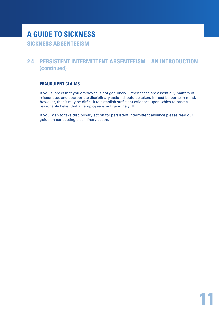# **A guide to sickness sickness Absenteeism**

## **2.4 PERSISTENT INTERMITTENT ABSENTEEISM – an introduction (continued)**

## **Fraudulent claims**

If you suspect that you employee is not genuinely ill then these are essentially matters of misconduct and appropriate disciplinary action should be taken. It must be borne in mind, however, that it may be difficult to establish sufficient evidence upon which to base a reasonable belief that an employee is not genuinely ill.

If you wish to take disciplinary action for persistent intermittent absence please read our guide on conducting disciplinary action.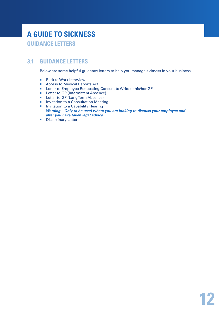## **3.1 Guidance Letters**

Below are some helpful guidance letters to help you manage sickness in your business.

- Back to Work Interview
- Access to Medical Reports Act
- Letter to Employee Requesting Consent to Write to his/her GP
- Letter to GP (Intermittent Absence)
- **Letter to GP (Long Term Absence)**
- **Invitation to a Consultation Meeting**
- **Invitation to a Capability Hearing** *Warning – Only to be used where you are looking to dismiss your employee and after you have taken legal advice*
- Disciplinary Letters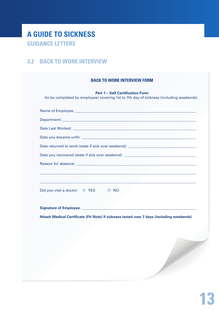## **3.2 Back to Work Interview**

| Name of Employee: Name of Employee:                                                                                                                                                                                            |           |  |  |
|--------------------------------------------------------------------------------------------------------------------------------------------------------------------------------------------------------------------------------|-----------|--|--|
| Department: North Communication of the Communication of the Communication of the Communication of the Communication of the Communication of the Communication of the Communication of the Communication of the Communication o |           |  |  |
|                                                                                                                                                                                                                                |           |  |  |
|                                                                                                                                                                                                                                |           |  |  |
| Date returned to work (state if sick over weekend): ___________________________________                                                                                                                                        |           |  |  |
| Date you recovered (state if sick over weekend): ________________________________                                                                                                                                              |           |  |  |
|                                                                                                                                                                                                                                |           |  |  |
|                                                                                                                                                                                                                                |           |  |  |
|                                                                                                                                                                                                                                |           |  |  |
| Did you visit a doctor: YES                                                                                                                                                                                                    | <b>NO</b> |  |  |
|                                                                                                                                                                                                                                |           |  |  |
|                                                                                                                                                                                                                                |           |  |  |
| Attach Medical Certificate (Fit Note) if sickness lasted over 7 days (including weekends)                                                                                                                                      |           |  |  |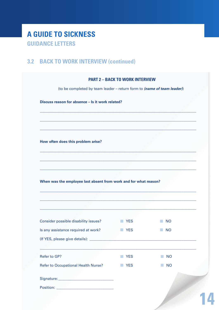# A GUIDE TO SICKNESS **GUIDANCE LETTERS**

## **3.2 BACK TO WORK INTERVIEW (continued)**

| (to be completed by team leader - return form to (name of team leader)) |                              |                             |  |
|-------------------------------------------------------------------------|------------------------------|-----------------------------|--|
| Discuss reason for absence - Is it work related?                        |                              |                             |  |
|                                                                         |                              |                             |  |
|                                                                         |                              |                             |  |
|                                                                         |                              |                             |  |
|                                                                         |                              |                             |  |
| How often does this problem arise?                                      |                              |                             |  |
|                                                                         |                              |                             |  |
|                                                                         |                              |                             |  |
|                                                                         |                              |                             |  |
|                                                                         |                              |                             |  |
| When was the employee last absent from work and for what reason?        |                              |                             |  |
|                                                                         |                              |                             |  |
|                                                                         |                              |                             |  |
|                                                                         |                              |                             |  |
|                                                                         |                              |                             |  |
| Consider possible disability issues?                                    | $\blacksquare$ YES           | <b>NO</b>                   |  |
| Is any assistance required at work?                                     | <b>NO</b> YES                | <b>NO</b>                   |  |
|                                                                         |                              |                             |  |
|                                                                         |                              |                             |  |
| Refer to GP?                                                            | <b>YES</b><br>m.             | <b>NO</b><br><b>College</b> |  |
| <b>Refer to Occupational Health Nurse?</b>                              | <b>YES</b><br><b>College</b> | <b>NO</b>                   |  |
|                                                                         |                              |                             |  |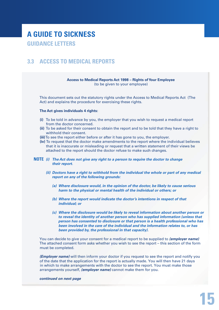## **3.3 Access to Medical Reports**

**Access to Medical Reports Act 1998 – Rights of Your Employee**  (to be given to your employee)

This document sets out the statutory rights under the Access to Medical Reports Act (The Act) and explains the procedure for exercising these rights.

#### **The Act gives individuals 4 rights:**

- **(i)** To be told in advance by you, the employer that you wish to request a medical report from the doctor concerned.
- **(ii)** To be asked for their consent to obtain the report and to be told that they have a right to withhold their consent.
- **(iii)** To see the report either before or after it has gone to you, the employer.
- **(iv)** To request that the doctor make amendments to the report where the individual believes that it is inaccurate or misleading or request that a written statement of their views be attached to the report should the doctor refuse to make such changes.
- **NOTE** *(i) The Act does not give any right to a person to require the doctor to change their report.*
	- *(ii) Doctors have a right to withhold from the individual the whole or part of any medical report on any of the following grounds:*
		- *(a) Where disclosure would, in the opinion of the doctor, be likely to cause serious harm to the physical or mental health of the individual or others; or*
		- *(b) Where the report would indicate the doctor's intentions in respect of that individual; or*
		- *(c) Where the disclosure would be likely to reveal information about another person or to reveal the identity of another person who has supplied information (unless that person has consented to disclosure or that person is a health professional who has been involved in the care of the individual and the information relates to, or has been provided by, the professional in that capacity).*

You can decide to give your consent for a medical report to be supplied to *(employer name)* The attached consent form asks whether you wish to see the report – this section of the form must be completed.

*(Employer name)* will then inform your doctor if you request to see the report and notify you of the date that the application for the report is actually made. You will then have 21 days in which to make arrangements with the doctor to see the report. You must make those arrangements yourself, *(employer name)* cannot make them for you.

*continued on next page*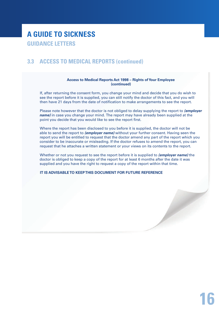## **3.3 Access to Medical Reports (continued)**

#### **Access to Medical Reports Act 1998 – Rights of Your Employee (continued)**

If, after returning the consent form, you change your mind and decide that you do wish to see the report before it is supplied, you can still notify the doctor of this fact, and you will then have 21 days from the date of notification to make arrangements to see the report.

Please note however that the doctor is not obliged to delay supplying the report to *(employer name)* in case you change your mind. The report may have already been supplied at the point you decide that you would like to see the report first.

Where the report has been disclosed to you before it is supplied, the doctor will not be able to send the report to *(employer name)* without your further consent. Having seen the report you will be entitled to request that the doctor amend any part of the report which you consider to be inaccurate or misleading. If the doctor refuses to amend the report, you can request that he attaches a written statement or your views on its contents to the report.

Whether or not you request to see the report before it is supplied to *(employer name)* the doctor is obliged to keep a copy of the report for at least 6 months after the date it was supplied and you have the right to request a copy of the report within that time.

**IT IS ADVISABLE TO KEEP THIS DOCUMENT FOR FUTURE REFERENCE**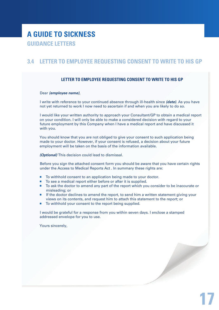## **3.4 Letter to Employee requesting consent to write to his GP**

### **Letter to Employee Requesting Consent to Write to his GP**

#### Dear *(employee name)*,

I write with reference to your continued absence through ill-health since *(date)*. As you have not yet returned to work I now need to ascertain if and when you are likely to do so.

I would like your written authority to approach your Consultant/GP to obtain a medical report on your condition. I will only be able to make a considered decision with regard to your future employment by this Company when I have a medical report and have discussed it with you.

You should know that you are not obliged to give your consent to such application being made to your doctor. However, if your consent is refused, a decision about your future employment will be taken on the basis of the information available.

*(Optional)* This decision could lead to dismissal.

Before you sign the attached consent form you should be aware that you have certain rights under the Access to Medical Reports Act . In summary these rights are:

- To withhold consent to an application being made to your doctor.
- To see a medical report either before or after it is supplied.
- To ask the doctor to amend any part of the report which you consider to be inaccurate or misleading; or
- **If the doctor declines to amend the report, to send him a written statement giving your** views on its contents, and request him to attach this statement to the report; or
- To withhold your consent to the report being supplied.

I would be grateful for a response from you within seven days. I enclose a stamped addressed envelope for you to use.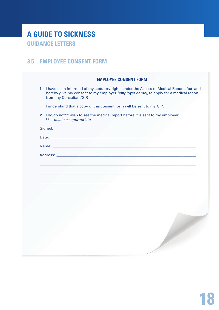## **3.5 EMPLOYEE CONSENT FORM**

|   | <b>EMPLOYEE CONSENT FORM</b>                                                                                                                                                                               |
|---|------------------------------------------------------------------------------------------------------------------------------------------------------------------------------------------------------------|
| 1 | I have been informed of my statutory rights under the Access to Medical Reports Act and<br>hereby give my consent to my employer (employer name), to apply for a medical report<br>from my Consultant/G.P. |
|   | I understand that a copy of this consent form will be sent to my G.P.                                                                                                                                      |
|   | 2 I do/do not** wish to see the medical report before it is sent to my employer.<br>** - delete as appropriate                                                                                             |
|   |                                                                                                                                                                                                            |
|   |                                                                                                                                                                                                            |
|   |                                                                                                                                                                                                            |
|   |                                                                                                                                                                                                            |
|   |                                                                                                                                                                                                            |
|   |                                                                                                                                                                                                            |
|   |                                                                                                                                                                                                            |
|   |                                                                                                                                                                                                            |
|   |                                                                                                                                                                                                            |
|   |                                                                                                                                                                                                            |
|   |                                                                                                                                                                                                            |
|   |                                                                                                                                                                                                            |
|   |                                                                                                                                                                                                            |
|   |                                                                                                                                                                                                            |
|   |                                                                                                                                                                                                            |
|   |                                                                                                                                                                                                            |
|   |                                                                                                                                                                                                            |
|   |                                                                                                                                                                                                            |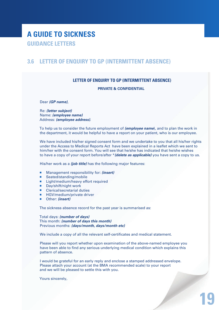## **3.6 Letter of Enquiry to GP (intermittent absence)**

## **Letter of Enquiry to GP (Intermittent Absence)**

#### **Private & Confidential**

Dear *(GP name)*,

Re: *(letter subject)* Name: *(employee name)* Address: *(employee address)*.

To help us to consider the future employment of *(employee name*), and to plan the work in the department, it would be helpful to have a report on your patient, who is our employee.

We have included his/her signed consent form and we undertake to you that all his/her rights under the Access to Medical Reports Act have been explained in a leaflet which we sent to him/her with the consent form. You will see that he/she has indicated that he/she wishes to have a copy of your report before/after \**(delete as applicable)* you have sent a copy to us.

His/her work as a *(job title)* has the following major features:

- Management responsibility for: *(insert)*
- Seated/standing/mobile
- **E** Light/medium/heavy effort required
- Day/shift/night work
- Clerical/secretarial duties
- **HGV/medium/private driver**
- Other: *(insert)*

The sickness absence record for the past year is summarised as:

Total days: *(number of days)* This month: *(number of days this month)* Previous months: *(days/month, days/month etc)*

We include a copy of all the relevant self-certificates and medical statement.

Please will you report whether upon examination of the above-named employee you have been able to find any serious underlying medical condition which explains this pattern of absence.

I would be grateful for an early reply and enclose a stamped addressed envelope. Please attach your account (at the BMA recommended scale) to your report and we will be pleased to settle this with you.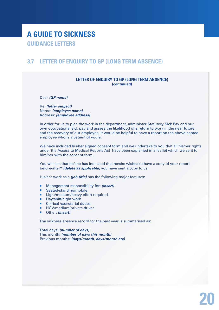## **3.7 Letter of enquiry to GP (Long Term Absence)**

#### **Letter of Enquiry to GP (Long Term Absence) (continued)**

Dear *(GP name)*,

Re: *(letter subject)* Name: *(employee name)* Address: *(employee address)*

In order for us to plan the work in the department, administer Statutory Sick Pay and our own occupational sick pay and assess the likelihood of a return to work in the near future, and the recovery of our employee, it would be helpful to have a report on the above named employee who is a patient of yours.

We have included his/her signed consent form and we undertake to you that all his/her rights under the Access to Medical Reports Act have been explained in a leaflet which we sent to him/her with the consent form.

You will see that he/she has indicated that he/she wishes to have a copy of your report before/after\* *(delete as applicable)* you have sent a copy to us.

His/her work as a *(job title)* has the following major features:

- Management responsibility for: *(insert)*
- Seated/standing/mobile
- **Light/medium/heavy effort required**
- Day/shift/night work
- Clerical /secretarial duties
- HGV/medium/private driver
- Other: *(insert)*

The sickness absence record for the past year is summarised as:

Total days: *(number of days)* This month: *(number of days this month)* Previous months: *(days/month, days/month etc)*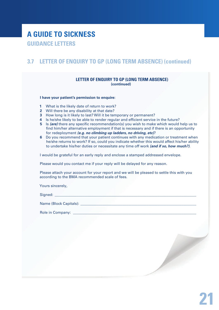## **3.7 Letter of enquiry to GP (Long Term Absence) (continued)**

#### **Letter of Enquiry to GP (Long Term Absence) (continued)**

**I have your patient's permission to enquire:**

- **1** What is the likely date of return to work?
- **2** Will there be any disability at that date?
- **3** How long is it likely to last? Will it be temporary or permanent?
- **4** Is he/she likely to be able to render regular and efficient service in the future?
- **5** Is *(are)* there any specific recommendation(s) you wish to make which would help us to find him/her alternative employment if that is necessary and if there is an opportunity for redeployment *(e.g. no climbing up ladders, no driving, etc)*?
- **6** Do you recommend that your patient continues with any medication or treatment when he/she returns to work? If so, could you indicate whether this would affect his/her ability to undertake his/her duties or necessitate any time off work *(and if so, how much?)*.

I would be grateful for an early reply and enclose a stamped addressed envelope.

Please would you contact me if your reply will be delayed for any reason.

Please attach your account for your report and we will be pleased to settle this with you according to the BMA recommended scale of fees.

Yours sincerely,

Signed:

Name (Block Capitals): \_\_\_\_\_\_\_\_\_\_\_\_\_\_\_\_\_\_\_\_\_\_\_\_\_\_\_\_\_\_\_\_\_\_\_\_\_\_\_\_\_\_\_\_\_\_\_\_\_\_\_\_\_\_\_\_\_\_\_\_\_\_\_

Role in Company: **Example 1**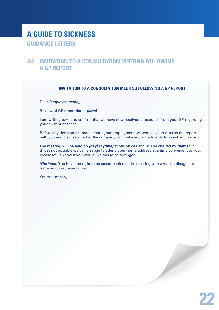## **3.8 Invitation to a consultation meeting following a GP report**

## **Invitation to a Consultation Meeting following a GP Report**

Dear *(employee name)*,

Review of GP report dated *(date)*

I am writing to you to confirm that we have now received a response from your GP regarding your current absence.

Before any decision are made about your employment we would like to discuss the report with you and discuss whether the company can make any adjustments to assist your return.

The meeting will be held on *(day)* at *(time)* at our offices and will be chaired by *(name)*. If this is not possible we can arrange to attend your home address at a time convenient to you. Please let us know if you would like this to be arranged.

*(Optional)* You have the right to be accompanied at the meeting with a work colleague or trade union representative.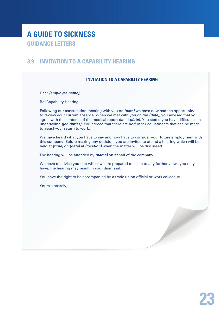## **3.9 Invitation to a Capability Hearing**

## **Invitation to a Capability Hearing**

Dear *(employee name)*,

Re: Capability Hearing

Following our consultation meeting with you on *(date)* we have now had the opportunity to review your current absence. When we met with you on the *(date)*, you advised that you agree with the contents of the medical report dated *(date)*. You stated you have difficulties in undertaking *(job duties)*. You agreed that there are no/further adjustments that can be made to assist your return to work.

We have heard what you have to say and now have to consider your future employment with this company. Before making any decision, you are invited to attend a hearing which will be held at *(time)* on *(date)* at *(location)* when the matter will be discussed.

The hearing will be attended by *(name)* on behalf of the company.

We have to advise you that whilst we are prepared to listen to any further views you may have, the hearing may result in your dismissal.

You have the right to be accompanied by a trade union official or work colleague.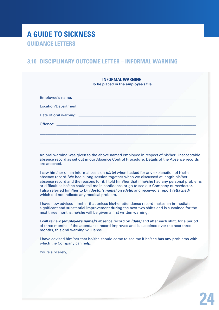## **3.10 Disciplinary outcome letter – informal warning**

| <b>INFORMAL WARNING</b><br>To be placed in the employee's file |  |  |  |
|----------------------------------------------------------------|--|--|--|
|                                                                |  |  |  |
|                                                                |  |  |  |
|                                                                |  |  |  |
|                                                                |  |  |  |
|                                                                |  |  |  |
|                                                                |  |  |  |

An oral warning was given to the above named employee in respect of his/her Unacceptable absence record as set out in our Absence Control Procedure. Details of the Absence records are attached.

I saw him/her on an informal basis on *(date)* when I asked for any explanation of his/her absence record. We had a long session together when we discussed at length his/her absence record and the reasons for it. I told him/her that if he/she had any personal problems or difficulties he/she could tell me in confidence or go to see our Company nurse/doctor. I also referred him/her to Dr *(doctor's name)* on *(date)* and received a report *(attached*) which did not indicate any medical problem.

I have now advised him/her that unless his/her attendance record makes an immediate, significant and substantial improvement during the next two shifts and is sustained for the next three months, he/she will be given a first written warning.

I will review *(employee's name)'s* absence record on *(date)* and after each shift, for a period of three months. If the attendance record improves and is sustained over the next three months, this oral warning will lapse.

I have advised him/her that he/she should come to see me if he/she has any problems with which the Company can help.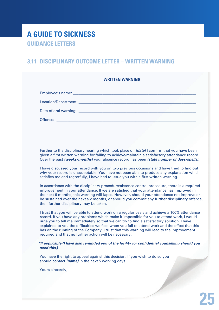## **3.11 Disciplinary outcome letter – Written Warning**

| <b>WRITTEN WARNING</b> |  |
|------------------------|--|
|                        |  |
|                        |  |
|                        |  |
|                        |  |
|                        |  |
|                        |  |
|                        |  |

Further to the disciplinary hearing which took place on *(date)* I confirm that you have been given a first written warning for failing to achieve/maintain a satisfactory attendance record. Over the past *(weeks/months)* your absence record has been *(state number of days/spells)*.

I have discussed your record with you on two previous occasions and have tried to find out why your record is unacceptable. You have not been able to produce any explanation which satisfies me and regretfully, I have had to issue you with a first written warning.

In accordance with the disciplinary procedure/absence control procedure, there is a required improvement in your attendance. If we are satisfied that your attendance has improved in the next 6 months, this warning will lapse. However, should your attendance not improve or be sustained over the next six months, or should you commit any further disciplinary offence, then further disciplinary may be taken.

I trust that you will be able to attend work on a regular basis and achieve a 100% attendance record. If you have any problems which make it impossible for you to attend work, I would urge you to tell me immediately so that we can try to find a satisfactory solution. I have explained to you the difficulties we face when you fail to attend work and the effect that this has on the running of the Company. I trust that this warning will lead to the improvement required and that no further action will be necessary.

#### *\*If applicable {I have also reminded you of the facility for confidential counselling should you need this.}*

You have the right to appeal against this decision. If you wish to do so you should contact *(name)* in the next 5 working days.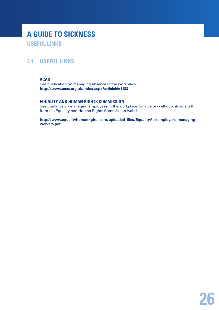# **A guide to sickness useful links**

## **4.1 Useful Links**

## **ACAS**

See publication on managing absence in the workplace. **http://www.acas.org.uk/index.aspx?articleid=1183**

#### **Equality and Human Rights Commission**

See guidance on managing employees in the workplace. Link below will download a pdf from the Equality and Human Rights Commission website.

**http://www.equalityhumanrights.com/uploaded\_files/EqualityAct/employers\_managing\_ workers.pdf**